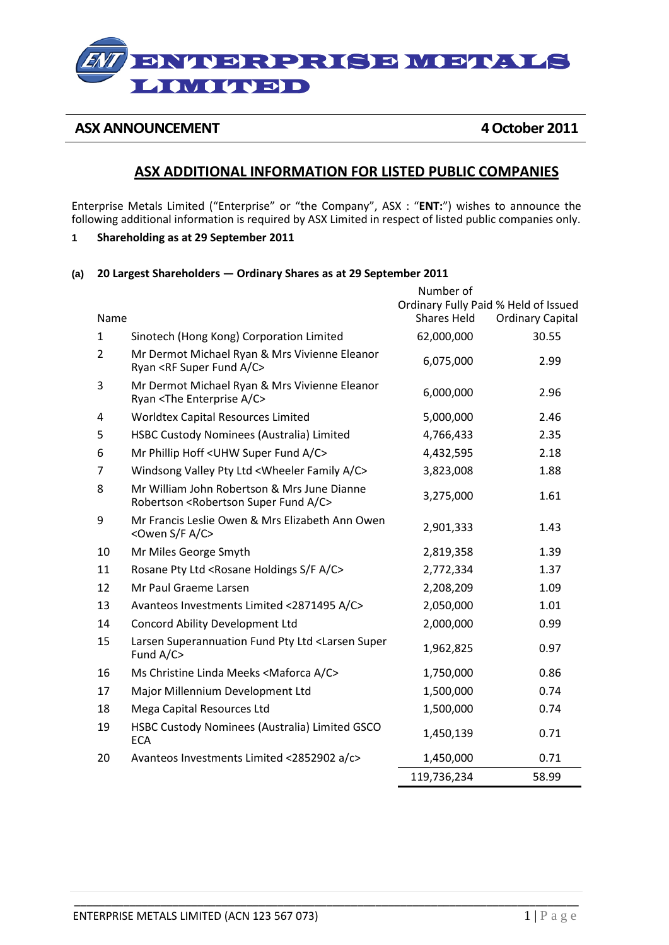# ENTERN GEREENS LIOVO GUDDID

**ASX ANNOUNCEMENT 4October 2011** 

# **ASX ADDITIONAL INFORMATION FOR LISTED PUBLIC COMPANIES**

Enterprise Metals Limited ("Enterprise" or "the Company", ASX : "**ENT:**") wishes to announce the following additional information is required by ASX Limited in respect of listed public companies only.

- **1 Shareholding as at 29 September 2011**
- **(a) 20 Largest Shareholders — Ordinary Shares as at 29 September 2011**

|                |                                                                                                             | Number of          |                                      |
|----------------|-------------------------------------------------------------------------------------------------------------|--------------------|--------------------------------------|
|                |                                                                                                             |                    | Ordinary Fully Paid % Held of Issued |
| Name           |                                                                                                             | <b>Shares Held</b> | <b>Ordinary Capital</b>              |
| $\mathbf{1}$   | Sinotech (Hong Kong) Corporation Limited                                                                    | 62,000,000         | 30.55                                |
| $\overline{2}$ | Mr Dermot Michael Ryan & Mrs Vivienne Eleanor<br>Ryan <rf a="" c="" fund="" super=""></rf>                  | 6,075,000          | 2.99                                 |
| 3              | Mr Dermot Michael Ryan & Mrs Vivienne Eleanor<br>Ryan <the a="" c="" enterprise=""></the>                   | 6,000,000          | 2.96                                 |
| 4              | Worldtex Capital Resources Limited                                                                          | 5,000,000          | 2.46                                 |
| 5              | HSBC Custody Nominees (Australia) Limited                                                                   | 4,766,433          | 2.35                                 |
| 6              | Mr Phillip Hoff < UHW Super Fund A/C>                                                                       | 4,432,595          | 2.18                                 |
| $\overline{7}$ | Windsong Valley Pty Ltd < Wheeler Family A/C>                                                               | 3,823,008          | 1.88                                 |
| 8              | Mr William John Robertson & Mrs June Dianne<br>Robertson <robertson a="" c="" fund="" super=""></robertson> | 3,275,000          | 1.61                                 |
| 9              | Mr Francis Leslie Owen & Mrs Elizabeth Ann Owen<br><owen a="" c="" f="" s=""></owen>                        | 2,901,333          | 1.43                                 |
| 10             | Mr Miles George Smyth                                                                                       | 2,819,358          | 1.39                                 |
| 11             | Rosane Pty Ltd <rosane a="" c="" f="" holdings="" s=""></rosane>                                            | 2,772,334          | 1.37                                 |
| 12             | Mr Paul Graeme Larsen                                                                                       | 2,208,209          | 1.09                                 |
| 13             | Avanteos Investments Limited <2871495 A/C>                                                                  | 2,050,000          | 1.01                                 |
| 14             | Concord Ability Development Ltd                                                                             | 2,000,000          | 0.99                                 |
| 15             | Larsen Superannuation Fund Pty Ltd <larsen super<br="">Fund A/C&gt;</larsen>                                | 1,962,825          | 0.97                                 |
| 16             | Ms Christine Linda Meeks <maforca a="" c=""></maforca>                                                      | 1,750,000          | 0.86                                 |
| 17             | Major Millennium Development Ltd                                                                            | 1,500,000          | 0.74                                 |
| 18             | Mega Capital Resources Ltd                                                                                  | 1,500,000          | 0.74                                 |
| 19             | HSBC Custody Nominees (Australia) Limited GSCO<br><b>ECA</b>                                                | 1,450,139          | 0.71                                 |
| 20             | Avanteos Investments Limited <2852902 a/c>                                                                  | 1,450,000          | 0.71                                 |
|                |                                                                                                             | 119,736,234        | 58.99                                |

\_\_\_\_\_\_\_\_\_\_\_\_\_\_\_\_\_\_\_\_\_\_\_\_\_\_\_\_\_\_\_\_\_\_\_\_\_\_\_\_\_\_\_\_\_\_\_\_\_\_\_\_\_\_\_\_\_\_\_\_\_\_\_\_\_\_\_\_\_\_\_\_\_\_\_\_\_\_\_\_\_\_